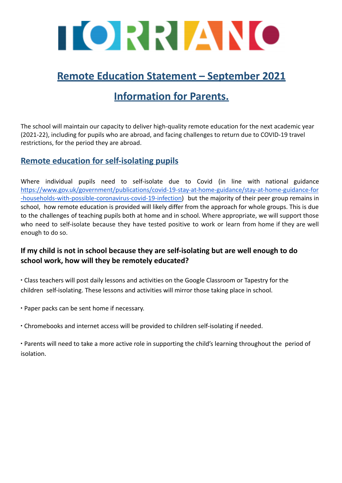

# **Remote Education Statement – September 2021**

# **Information for Parents.**

The school will maintain our capacity to deliver high-quality remote education for the next academic year (2021-22), including for pupils who are abroad, and facing challenges to return due to COVID-19 travel restrictions, for the period they are abroad.

# **Remote education for self-isolating pupils**

Where individual pupils need to self-isolate due to Covid (in line with national guidance [https://www.gov.uk/government/publications/covid-19-stay-at-home-guidance/stay-at-home-guidance-for](https://www.gov.uk/government/publications/covid-19-stay-at-home-guidance/stay-at-home-guidance-for-households-with-possible-coronavirus-covid-19-infection) [-households-with-possible-coronavirus-covid-19-infection\)](https://www.gov.uk/government/publications/covid-19-stay-at-home-guidance/stay-at-home-guidance-for-households-with-possible-coronavirus-covid-19-infection) but the majority of their peer group remains in school, how remote education is provided will likely differ from the approach for whole groups. This is due to the challenges of teaching pupils both at home and in school. Where appropriate, we will support those who need to self-isolate because they have tested positive to work or learn from home if they are well enough to do so.

### **If my child is not in school because they are self-isolating but are well enough to do school work, how will they be remotely educated?**

∙ Class teachers will post daily lessons and activities on the Google Classroom or Tapestry for the children self-isolating. These lessons and activities will mirror those taking place in school.

∙ Paper packs can be sent home if necessary.

∙ Chromebooks and internet access will be provided to children self-isolating if needed.

∙ Parents will need to take a more active role in supporting the child's learning throughout the period of isolation.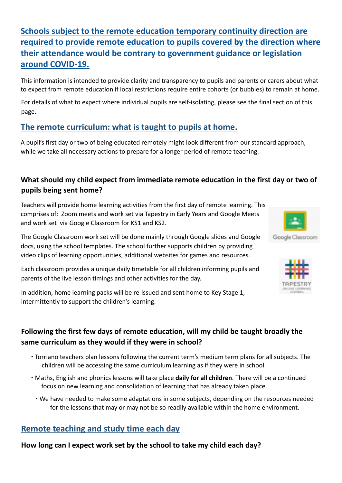# **Schools subject to the remote education [temporary](https://www.gov.uk/government/publications/remote-education-temporary-continuity-direction-explanatory-note) continuity direction are required to provide remote education to pupils covered by the direction where their attendance would be contrary to government guidance or legislation around COVID-19.**

This information is intended to provide clarity and transparency to pupils and parents or carers about what to expect from remote education if local restrictions require entire cohorts (or bubbles) to remain at home.

For details of what to expect where individual pupils are self-isolating, please see the final section of this page.

# **The remote curriculum: what is taught to pupils at home.**

A pupil's first day or two of being educated remotely might look different from our standard approach, while we take all necessary actions to prepare for a longer period of remote teaching.

# **What should my child expect from immediate remote education in the first day or two of pupils being sent home?**

Teachers will provide home learning activities from the first day of remote learning. This comprises of: Zoom meets and work set via Tapestry in Early Years and Google Meets and work set via Google Classroom for KS1 and KS2.



The Google Classroom work set will be done mainly through Google slides and Google docs, using the school templates. The school further supports children by providing video clips of learning opportunities, additional websites for games and resources.

Each classroom provides a unique daily timetable for all children informing pupils and parents of the live lesson timings and other activities for the day.

In addition, home learning packs will be re-issued and sent home to Key Stage 1, intermittently to support the children's learning.

# **Following the first few days of remote education, will my child be taught broadly the same curriculum as they would if they were in school?**

- ∙ Torriano teachers plan lessons following the current term's medium term plans for all subjects. The children will be accessing the same curriculum learning as if they were in school.
- ∙ Maths, English and phonics lessons will take place **daily for all children**. There will be a continued focus on new learning and consolidation of learning that has already taken place.
	- ∙ We have needed to make some adaptations in some subjects, depending on the resources needed for the lessons that may or may not be so readily available within the home environment.

# **Remote teaching and study time each day**

**How long can I expect work set by the school to take my child each day?**

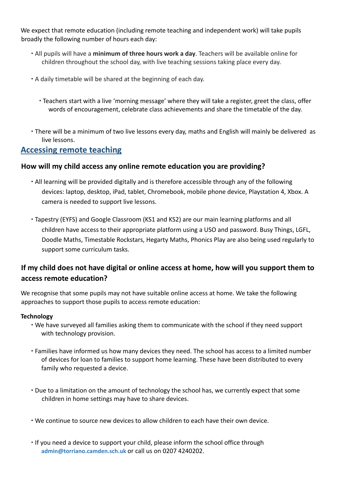We expect that remote education (including remote teaching and independent work) will take pupils broadly the following number of hours each day:

- ∙ All pupils will have a **minimum of three hours work a day**. Teachers will be available online for children throughout the school day, with live teaching sessions taking place every day.
- ∙ A daily timetable will be shared at the beginning of each day.
	- ∙ Teachers start with a live 'morning message' where they will take a register, greet the class, offer words of encouragement, celebrate class achievements and share the timetable of the day.
- ∙ There will be a minimum of two live lessons every day, maths and English will mainly be delivered as live lessons.

### **Accessing remote teaching**

#### **How will my child access any online remote education you are providing?**

- ∙ All learning will be provided digitally and is therefore accessible through any of the following devices: laptop, desktop, iPad, tablet, Chromebook, mobile phone device, Playstation 4, Xbox. A camera is needed to support live lessons.
- ∙ Tapestry (EYFS) and Google Classroom (KS1 and KS2) are our main learning platforms and all children have access to their appropriate platform using a USO and password. Busy Things, LGFL, Doodle Maths, Timestable Rockstars, Hegarty Maths, Phonics Play are also being used regularly to support some curriculum tasks.

# **If my child does not have digital or online access at home, how will you support them to access remote education?**

We recognise that some pupils may not have suitable online access at home. We take the following approaches to support those pupils to access remote education:

#### **Technology**

- ∙ We have surveyed all families asking them to communicate with the school if they need support with technology provision.
- ∙ Families have informed us how many devices they need. The school has access to a limited number of devices for loan to families to support home learning. These have been distributed to every family who requested a device.
- ∙ Due to a limitation on the amount of technology the school has, we currently expect that some children in home settings may have to share devices.
- ∙ We continue to source new devices to allow children to each have their own device.
- ∙ If you need a device to support your child, please inform the school office through **admin@torriano.camden.sch.uk** or call us on 0207 4240202.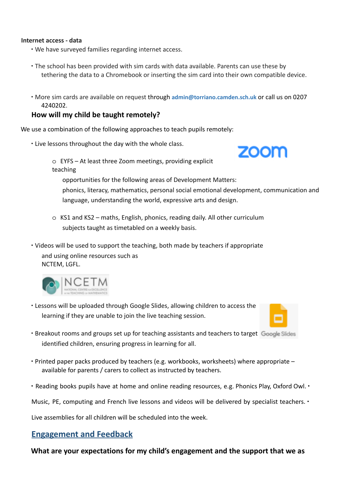#### **Internet access - data**

- ∙ We have surveyed families regarding internet access.
- ∙ The school has been provided with sim cards with data available. Parents can use these by tethering the data to a Chromebook or inserting the sim card into their own compatible device.
- ∙ More sim cards are available on request through **admin@torriano.camden.sch.uk** or call us on 0207 4240202.

#### **How will my child be taught remotely?**

We use a combination of the following approaches to teach pupils remotely:

∙ Live lessons throughout the day with the whole class.



o EYFS – At least three Zoom meetings, providing explicit teaching

opportunities for the following areas of Development Matters:

phonics, literacy, mathematics, personal social emotional development, communication and language, understanding the world, expressive arts and design.

- o KS1 and KS2 maths, English, phonics, reading daily. All other curriculum subjects taught as timetabled on a weekly basis.
- ∙ Videos will be used to support the teaching, both made by teachers if appropriate and using online resources such as NCTEM, LGFL.



∙ Lessons will be uploaded through Google Slides, allowing children to access the learning if they are unable to join the live teaching session.



- ∙ Breakout rooms and groups set up for teaching assistants and teachers to target identified children, ensuring progress in learning for all.
- ∙ Printed paper packs produced by teachers (e.g. workbooks, worksheets) where appropriate available for parents / carers to collect as instructed by teachers.
- ∙ Reading books pupils have at home and online reading resources, e.g. Phonics Play, Oxford Owl. ∙

Music, PE, computing and French live lessons and videos will be delivered by specialist teachers. ∙

Live assemblies for all children will be scheduled into the week.

### **Engagement and Feedback**

#### **What are your expectations for my child's engagement and the support that we as**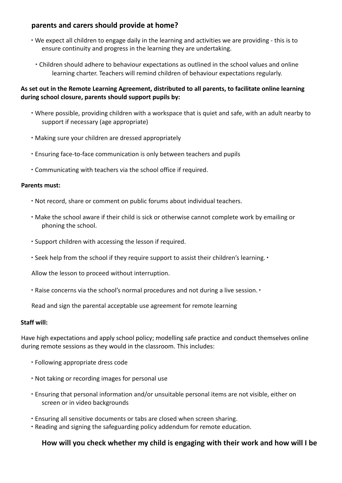#### **parents and carers should provide at home?**

- ∙ We expect all children to engage daily in the learning and activities we are providing this is to ensure continuity and progress in the learning they are undertaking.
	- ∙ Children should adhere to behaviour expectations as outlined in the school values and online learning charter. Teachers will remind children of behaviour expectations regularly.

#### **As set out in the Remote Learning Agreement, distributed to all parents, to facilitate online learning during school closure, parents should support pupils by:**

- ∙ Where possible, providing children with a workspace that is quiet and safe, with an adult nearby to support if necessary (age appropriate)
- ∙ Making sure your children are dressed appropriately
- ∙ Ensuring face-to-face communication is only between teachers and pupils
- ∙ Communicating with teachers via the school office if required.

#### **Parents must:**

- ∙ Not record, share or comment on public forums about individual teachers.
- ∙ Make the school aware if their child is sick or otherwise cannot complete work by emailing or phoning the school.
- ∙ Support children with accessing the lesson if required.
- ∙ Seek help from the school if they require support to assist their children's learning. ∙

Allow the lesson to proceed without interruption.

∙ Raise concerns via the school's normal procedures and not during a live session. ∙

Read and sign the parental acceptable use agreement for remote learning

#### **Staff will:**

Have high expectations and apply school policy; modelling safe practice and conduct themselves online during remote sessions as they would in the classroom. This includes:

- ∙ Following appropriate dress code
- ∙ Not taking or recording images for personal use
- ∙ Ensuring that personal information and/or unsuitable personal items are not visible, either on screen or in video backgrounds
- ∙ Ensuring all sensitive documents or tabs are closed when screen sharing.
- ∙ Reading and signing the safeguarding policy addendum for remote education.

#### **How will you check whether my child is engaging with their work and how will I be**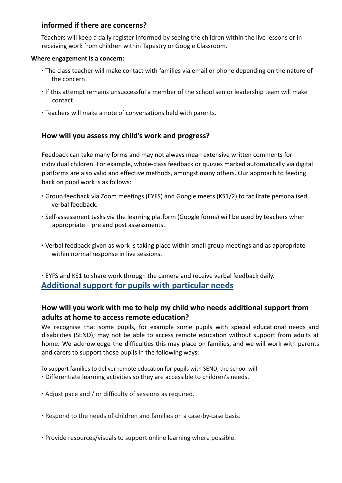#### **informed if there are concerns?**

Teachers will keep a daily register informed by seeing the children within the live lessons or in receiving work from children within Tapestry or Google Classroom.

#### **Where engagement is a concern:**

- ∙ The class teacher will make contact with families via email or phone depending on the nature of the concern.
- ∙ If this attempt remains unsuccessful a member of the school senior leadership team will make contact.
- ∙ Teachers will make a note of conversations held with parents.

#### **How will you assess my child's work and progress?**

Feedback can take many forms and may not always mean extensive written comments for individual children. For example, whole-class feedback or quizzes marked automatically via digital platforms are also valid and effective methods, amongst many others. Our approach to feeding back on pupil work is as follows:

- ∙ Group feedback via Zoom meetings (EYFS) and Google meets (KS1/2) to facilitate personalised verbal feedback.
- ∙ Self-assessment tasks via the learning platform (Google forms) will be used by teachers when appropriate – pre and post assessments.
- ∙ Verbal feedback given as work is taking place within small group meetings and as appropriate within normal response in live sessions.

∙ EYFS and KS1 to share work through the camera and receive verbal feedback daily. **Additional support for pupils with particular needs**

## **How will you work with me to help my child who needs additional support from adults at home to access remote education?**

We recognise that some pupils, for example some pupils with special educational needs and disabilities (SEND), may not be able to access remote education without support from adults at home. We acknowledge the difficulties this may place on families, and we will work with parents and carers to support those pupils in the following ways:

To support families to deliver remote education for pupils with SEND, the school will: ∙ Differentiate learning activities so they are accessible to children's needs.

- ∙ Adjust pace and / or difficulty of sessions as required.
- ∙ Respond to the needs of children and families on a case-by-case basis.
- ∙ Provide resources/visuals to support online learning where possible.